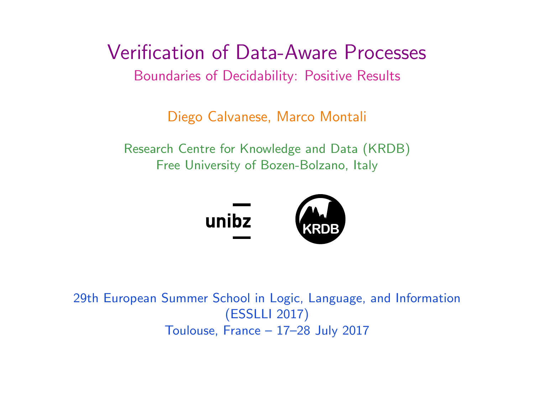<span id="page-0-0"></span>Verification of Data-Aware Processes Boundaries of Decidability: Positive Results

Diego Calvanese, Marco Montali

Research Centre for Knowledge and Data (KRDB) Free University of Bozen-Bolzano, Italy



29th European Summer School in Logic, Language, and Information (ESSLLI 2017) Toulouse, France – 17–28 July 2017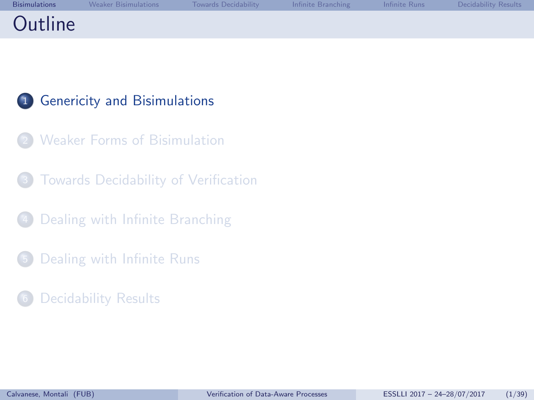<span id="page-1-0"></span>

|         | Bisimulations Weaker Bisimulations Towards Decidability Infinite Branching Infinite Runs Decidability Results |  |  |
|---------|---------------------------------------------------------------------------------------------------------------|--|--|
| Outline |                                                                                                               |  |  |

## <sup>1</sup> [Genericity and Bisimulations](#page-1-0)

- **[Weaker Forms of Bisimulation](#page-8-0)**
- [Towards Decidability of Verification](#page-15-0)
- [Dealing with Infinite Branching](#page-19-0)
- <sup>5</sup> [Dealing with Infinite Runs](#page-25-0)
- [Decidability Results](#page-33-0)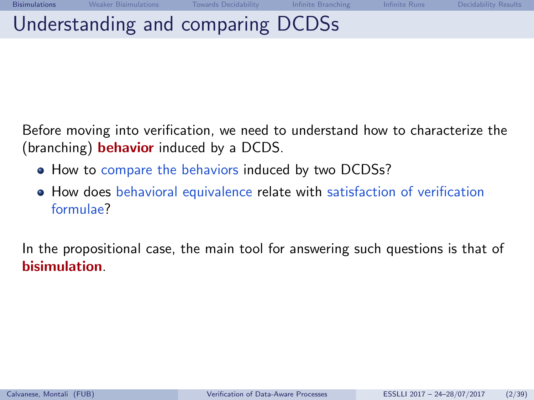Before moving into verification, we need to understand how to characterize the (branching) **behavior** induced by a DCDS.

- How to compare the behaviors induced by two DCDSs?
- How does behavioral equivalence relate with satisfaction of verification formulae?

In the propositional case, the main tool for answering such questions is that of bisimulation.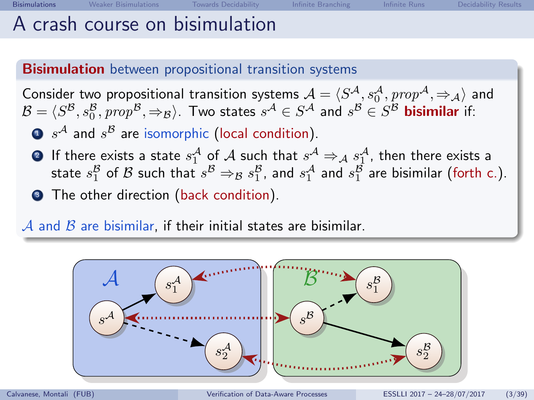## A crash course on bisimulation

### **Bisimulation** between propositional transition systems

Consider two propositional transition systems  $\mathcal{A} = \langle S^{\mathcal{A}}, s_0^{\mathcal{A}}, prop^{\mathcal{A}}, \Rightarrow_{\mathcal{A}} \rangle$  and  $\mathcal{B}=\langle S^\mathcal{B}, s_0^\mathcal{B}, prop^\mathcal{B}, \Rightarrow_\mathcal{B} \rangle$ . Two states  $s^\mathcal{A}\in S^\mathcal{A}$  and  $s^\mathcal{B}\in S^\mathcal{B}$  bisimilar if:

- $\mathbf{D}$   $s^{\mathcal{A}}$  and  $s^{\mathcal{B}}$  are isomorphic (local condition).
- **2** If there exists a state  $s_1^{\mathcal{A}}$  of  $\mathcal{A}$  such that  $s^{\mathcal{A}} \Rightarrow_{\mathcal{A}} s_1^{\mathcal{A}}$ , then there exists a If there exists a state  $s_1^B$  of A such that  $s^B \rightarrow s^B$ , and  $s_1^A$  and  $s_1^B$  are bisimilar (forth c.).
- The other direction (back condition).

 $A$  and  $B$  are bisimilar, if their initial states are bisimilar.

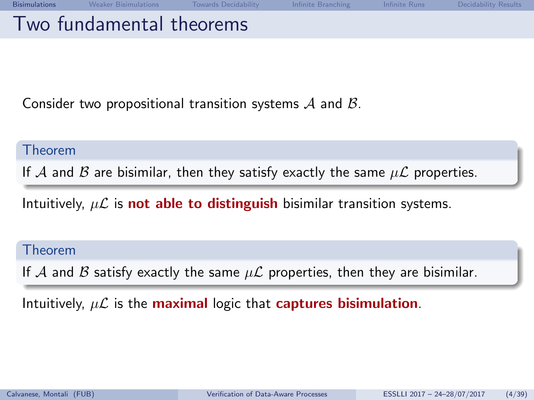Consider two propositional transition systems  $A$  and  $B$ .

#### Theorem

If A and B are bisimilar, then they satisfy exactly the same  $\mu\mathcal{L}$  properties.

Intuitively,  $\mu\mathcal{L}$  is **not able to distinguish** bisimilar transition systems.

#### Theorem

If A and B satisfy exactly the same  $\mu\mathcal{L}$  properties, then they are bisimilar.

Intuitively,  $\mu\mathcal{L}$  is the maximal logic that captures bisimulation.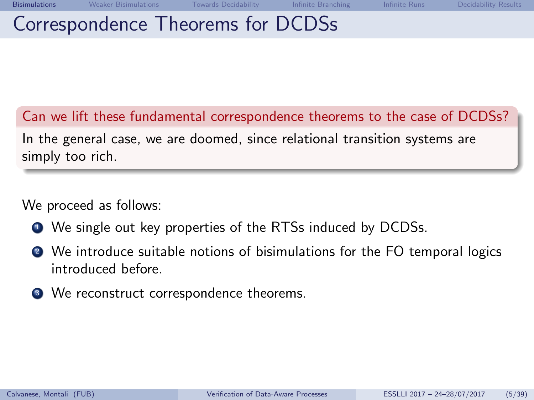## Correspondence Theorems for DCDSs

Can we lift these fundamental correspondence theorems to the case of DCDSs? In the general case, we are doomed, since relational transition systems are simply too rich.

We proceed as follows:

- $\bullet$  We single out key properties of the RTSs induced by DCDSs.
- <sup>2</sup> We introduce suitable notions of bisimulations for the FO temporal logics introduced before.
- <sup>3</sup> We reconstruct correspondence theorems.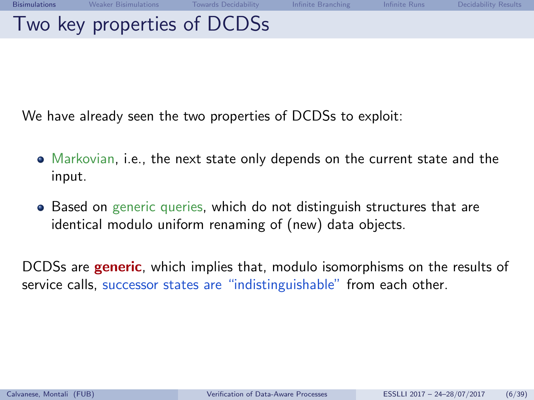| Bisimulations | Neaker Bisimulations Towards Decidability The Infinite Branching The Infinite Runs |  | <b>Example 19 Decidability Results</b> |
|---------------|------------------------------------------------------------------------------------|--|----------------------------------------|
|               | Two key properties of DCDSs                                                        |  |                                        |

We have already seen the two properties of DCDSs to exploit:

- Markovian, i.e., the next state only depends on the current state and the input.
- Based on generic queries, which do not distinguish structures that are identical modulo uniform renaming of (new) data objects.

DCDSs are **generic**, which implies that, modulo isomorphisms on the results of service calls, successor states are "indistinguishable" from each other.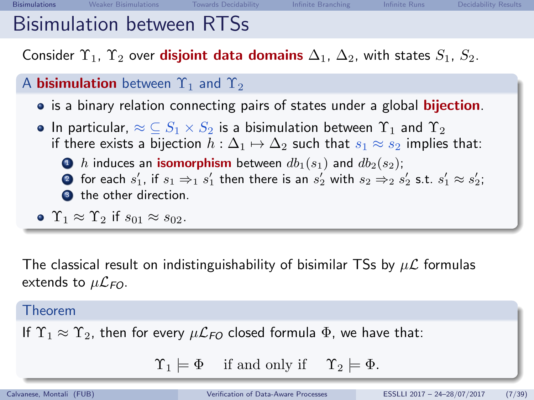## Bisimulation between RTSs

Consider  $\Upsilon_1$ ,  $\Upsilon_2$  over **disjoint data domains**  $\Delta_1$ ,  $\Delta_2$ , with states  $S_1$ ,  $S_2$ .

### A **bisimulation** between  $\Upsilon_1$  and  $\Upsilon_2$

- is a binary relation connecting pairs of states under a global **bijection**.
- In particular,  $\approx \text{C} S_1 \times S_2$  is a bisimulation between  $\Upsilon_1$  and  $\Upsilon_2$ if there exists a bijection  $h : \Delta_1 \mapsto \Delta_2$  such that  $s_1 \approx s_2$  implies that:
	- $\bullet$  h induces an **isomorphism** between  $db_1(s_1)$  and  $db_2(s_2)$ ;  $\bullet$  for each  $s_1'$ , if  $s_1 \Rightarrow_1 s_1'$  then there is an  $s_2'$  with  $s_2 \Rightarrow_2 s_2'$  s.t.  $s_1' \approx s_2';$ <sup>3</sup> the other direction.

• 
$$
\Upsilon_1 \approx \Upsilon_2
$$
 if  $s_{01} \approx s_{02}$ .

The classical result on indistinguishability of bisimilar TSs by  $\mu\mathcal{L}$  formulas extends to  $\mu\mathcal{L}_{FO}$ .

#### Theorem

If  $\Upsilon_1 \approx \Upsilon_2$ , then for every  $\mu \mathcal{L}_{FO}$  closed formula  $\Phi$ , we have that:

 $\Upsilon_1 \models \Phi$  if and only if  $\Upsilon_2 \models \Phi$ .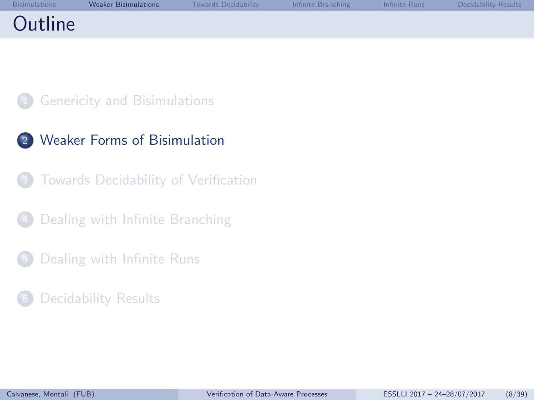<span id="page-8-0"></span>

| Bisimulations | <b>Weaker Bisimulations</b> | Towards Decidability The Infinite Branching The Infinite Runs Decidability Results |  |  |
|---------------|-----------------------------|------------------------------------------------------------------------------------|--|--|
| Outline       |                             |                                                                                    |  |  |

### **[Genericity and Bisimulations](#page-1-0)**

- 2 [Weaker Forms of Bisimulation](#page-8-0)
	- [Towards Decidability of Verification](#page-15-0)
- [Dealing with Infinite Branching](#page-19-0)
- <sup>5</sup> [Dealing with Infinite Runs](#page-25-0)
- [Decidability Results](#page-33-0)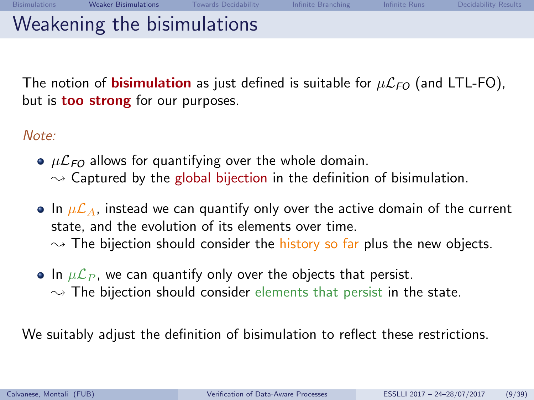The notion of **bisimulation** as just defined is suitable for  $\mu\mathcal{L}_{FO}$  (and LTL-FO), but is **too strong** for our purposes.

Note:

- $\bullet$   $\mu$  $\mathcal{L}_{FO}$  allows for quantifying over the whole domain.  $\rightarrow$  Captured by the global bijection in the definition of bisimulation.
- In  $\mu\mathcal{L}_A$ , instead we can quantify only over the active domain of the current state, and the evolution of its elements over time.  $\rightarrow$  The bijection should consider the history so far plus the new objects.
- In  $\mu\mathcal{L}_P$ , we can quantify only over the objects that persist.  $\sim$  The bijection should consider elements that persist in the state.

We suitably adjust the definition of bisimulation to reflect these restrictions.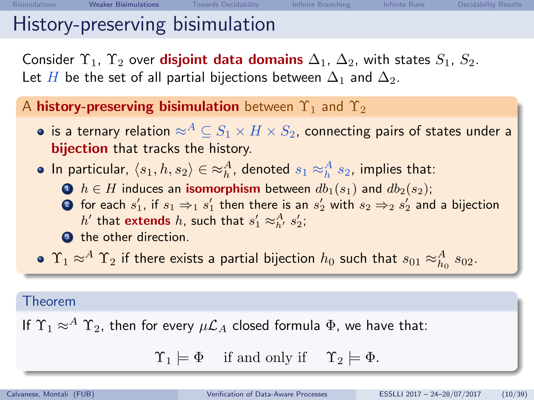Consider  $\Upsilon_1$ ,  $\Upsilon_2$  over **disjoint data domains**  $\Delta_1$ ,  $\Delta_2$ , with states  $S_1$ ,  $S_2$ . Let H be the set of all partial bijections between  $\Delta_1$  and  $\Delta_2$ .

A history-preserving bisimulation between  $\Upsilon_1$  and  $\Upsilon_2$ 

- is a ternary relation  $\approx^A \subseteq S_1 \times H \times S_2$ , connecting pairs of states under a bijection that tracks the history.
- In particular,  $\langle s_1, h, s_2 \rangle \in \approx_h^A$ , denoted  $s_1 \approx_h^A s_2$ , implies that:
	- $\bigodot$   $h \in H$  induces an **isomorphism** between  $db_1(s_1)$  and  $db_2(s_2)$ ;
	- $\bullet$  for each  $s_1'$ , if  $s_1 \Rightarrow_1 s_1'$  then there is an  $s_2'$  with  $s_2 \Rightarrow_2 s_2'$  and a bijection  $h'$  that extends  $h$ , such that  $s'_1 \approx^A_{h'} s'_2$ ;
	- <sup>3</sup> the other direction.
- $\Upsilon_1 \approx^A \Upsilon_2$  if there exists a partial bijection  $h_0$  such that  $s_{01} \approx^A_{h_0} s_{02}.$

#### Theorem

If  $\Upsilon_1 \approx^A \Upsilon_2$ , then for every  $\mu \mathcal{L}_A$  closed formula  $\Phi$ , we have that:

 $\Upsilon_1 \models \Phi$  if and only if  $\Upsilon_2 \models \Phi$ .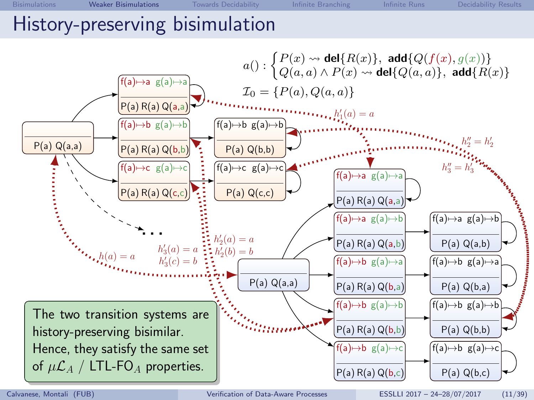## History-preserving bisimulation

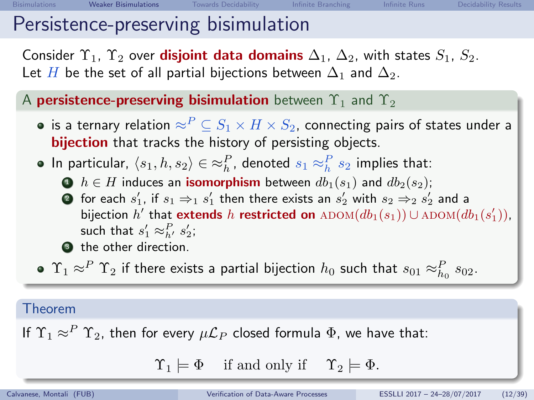## Persistence-preserving bisimulation

Consider  $\Upsilon_1$ ,  $\Upsilon_2$  over **disjoint data domains**  $\Delta_1$ ,  $\Delta_2$ , with states  $S_1$ ,  $S_2$ . Let H be the set of all partial bijections between  $\Delta_1$  and  $\Delta_2$ .

A persistence-preserving bisimulation between  $\Upsilon_1$  and  $\Upsilon_2$ 

- is a ternary relation  $\approx^P \subseteq S_1 \times H \times S_2$ , connecting pairs of states under a bijection that tracks the history of persisting objects.
- In particular,  $\langle s_1, h, s_2 \rangle \in \approx_h^P$ , denoted  $s_1 \approx_h^P s_2$  implies that:
	- $\bigodot$   $h \in H$  induces an **isomorphism** between  $db_1(s_1)$  and  $db_2(s_2)$ ;
	- $\bullet$  for each  $s_1'$ , if  $s_1 \Rightarrow_1 s_1'$  then there exists an  $s_2'$  with  $s_2 \Rightarrow_2 s_2'$  and a bijection  $h'$  that extends  $h$  restricted on  $\text{ADOM}(db_1(s_1)) \cup \text{ADOM}(db_1(s'_1)),$ such that  $s'_1 \approx_{h'}^P s'_2$ ;
	- **3** the other direction.
	- $\Upsilon_1 \approx^P \Upsilon_2$  if there exists a partial bijection  $h_0$  such that  $s_{01} \approx^P_{h_0} s_{02}.$

### Theorem

If  $\Upsilon_1 \approx^P \Upsilon_2$ , then for every  $\mu \mathcal{L}_P$  closed formula  $\Phi$ , we have that:

 $\Upsilon_1 \models \Phi$  if and only if  $\Upsilon_2 \models \Phi$ .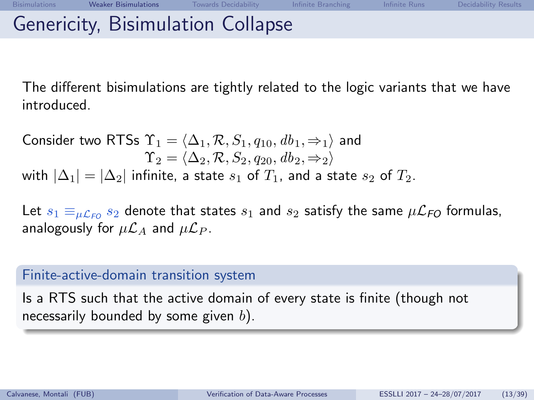The different bisimulations are tightly related to the logic variants that we have introduced.

Consider two RTSs  $\Upsilon_1 = \langle \Delta_1, \mathcal{R}, S_1, q_{10}, db_1, \Rightarrow_1 \rangle$  and  $\Upsilon_2 = \langle \Delta_2, R, S_2, q_{20}, db_2, \Rightarrow_2 \rangle$ with  $|\Delta_1| = |\Delta_2|$  infinite, a state  $s_1$  of  $T_1$ , and a state  $s_2$  of  $T_2$ .

Let  $s_1 \equiv_{\mu \mathcal{L}_{FO}} s_2$  denote that states  $s_1$  and  $s_2$  satisfy the same  $\mu \mathcal{L}_{FO}$  formulas, analogously for  $\mu\mathcal{L}_A$  and  $\mu\mathcal{L}_P$ .

#### Finite-active-domain transition system

Is a RTS such that the active domain of every state is finite (though not necessarily bounded by some given  $b$ ).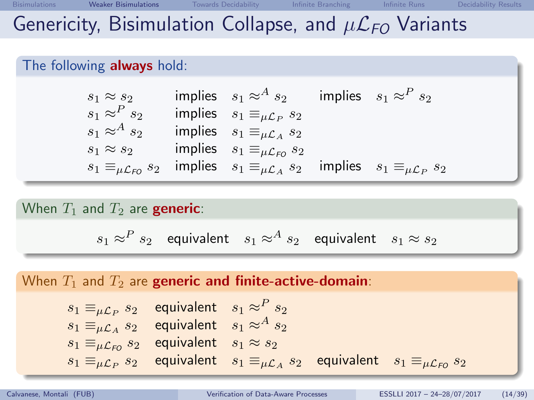#### The following **always** hold:

| $s_1 \approx s_2$                       | implies $s_1 \approx^A s_2$                     | implies $s_1 \approx^P s_2$                  |
|-----------------------------------------|-------------------------------------------------|----------------------------------------------|
| $s_1 \approx^P s_2$                     | implies $s_1 \equiv_{\mu \mathcal{L}_P} s_2$    |                                              |
| $s_1 \approx^A s_2$                     | implies $s_1 \equiv_{\mu \mathcal{L}_A} s_2$    |                                              |
| $s_1 \approx s_2$                       | implies $s_1 \equiv_{\mu \mathcal{L}_{FO}} s_2$ |                                              |
| $s_1 \equiv_{\mu \mathcal{L}_{FO}} s_2$ | implies $s_1 \equiv_{\mu \mathcal{L}_A} s_2$    | implies $s_1 \equiv_{\mu \mathcal{L}_P} s_2$ |

#### When  $T_1$  and  $T_2$  are **generic**:

 $s_1 \approx^P s_2$  equivalent  $s_1 \approx^A s_2$  equivalent  $s_1 \approx s_2$ 

### When  $T_1$  and  $T_2$  are generic and finite-active-domain:  $s_1 \equiv_{\mu \mathcal{L}_P} s_2$  equivalent  $s_1 \approx^P s_2$  $s_1 \equiv_{\mu \mathcal{L}_A} s_2$  equivalent  $s_1 \approx^A s_2$  $s_1 \equiv_{\mu \mathcal{L}_{FO}} s_2$  equivalent  $s_1 \approx s_2$  $s_1 \equiv_{\mu \mathcal{L}_P} s_2$ equivalent  $s_1 \equiv_{\mu \mathcal{L}_A} s_2$  equivalent  $s_1 \equiv_{\mu \mathcal{L}_{FO}} s_2$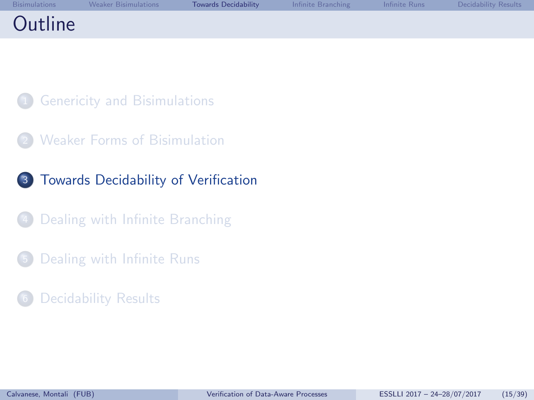<span id="page-15-0"></span>

|         | Bisimulations Weaker Bisimulations | Towards Decidability | <b>1999 Infinite Branching The Infinite Runs Constitution</b> Decidability Results |  |
|---------|------------------------------------|----------------------|------------------------------------------------------------------------------------|--|
| Outline |                                    |                      |                                                                                    |  |

- **[Genericity and Bisimulations](#page-1-0)**
- **[Weaker Forms of Bisimulation](#page-8-0)**
- 3 [Towards Decidability of Verification](#page-15-0)
- [Dealing with Infinite Branching](#page-19-0)
- <sup>5</sup> [Dealing with Infinite Runs](#page-25-0)
- [Decidability Results](#page-33-0)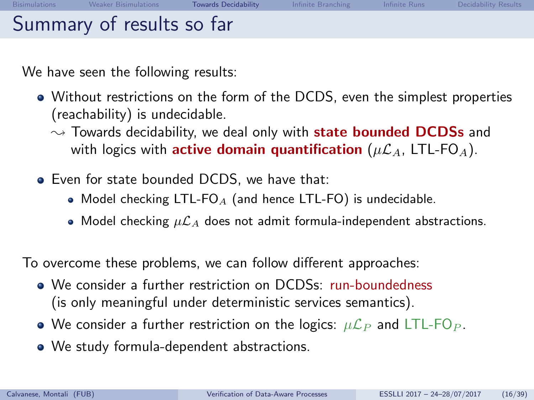We have seen the following results:

- Without restrictions on the form of the DCDS, even the simplest properties (reachability) is undecidable.
	- $\rightsquigarrow$  Towards decidability, we deal only with **state bounded DCDSs** and with logics with **active domain quantification** ( $\mu\mathcal{L}_A$ , LTL-FO<sub>A</sub>).
- Even for state bounded DCDS, we have that:
	- Model checking LTL-FO<sub>A</sub> (and hence LTL-FO) is undecidable.
	- Model checking  $\mu\mathcal{L}_A$  does not admit formula-independent abstractions.

To overcome these problems, we can follow different approaches:

- We consider a further restriction on DCDSs: run-boundedness (is only meaningful under deterministic services semantics).
- We consider a further restriction on the logics:  $\mu\mathcal{L}_P$  and LTL-FO<sub>P</sub>.
- We study formula-dependent abstractions.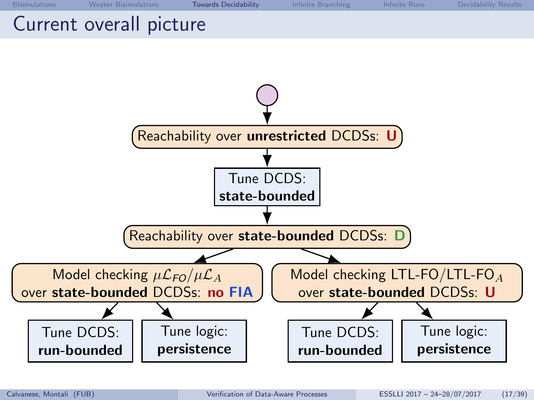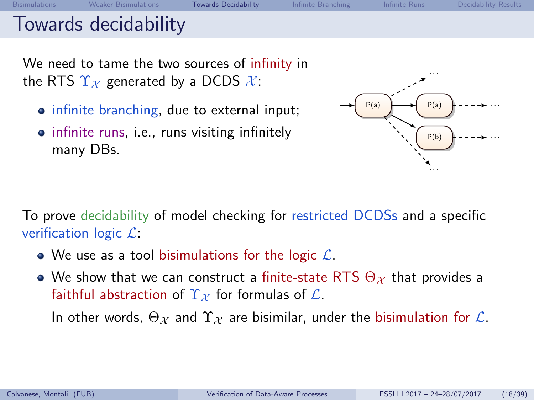## Towards decidability

We need to tame the two sources of infinity in the RTS  $\Upsilon_{\mathcal{X}}$  generated by a DCDS  $\mathcal{X}$ :

- infinite branching, due to external input;
- infinite runs, i.e., runs visiting infinitely many DBs.



To prove decidability of model checking for restricted DCDSs and a specific verification logic  $\mathcal{L}$ :

- We use as a tool bisimulations for the logic  $\mathcal{L}$ .
- We show that we can construct a finite-state RTS  $\Theta_{\mathcal{X}}$  that provides a faithful abstraction of  $\Upsilon_{\mathcal{X}}$  for formulas of  $\mathcal{L}$ .

In other words,  $\Theta_{\mathcal{X}}$  and  $\Upsilon_{\mathcal{X}}$  are bisimilar, under the bisimulation for  $\mathcal{L}$ .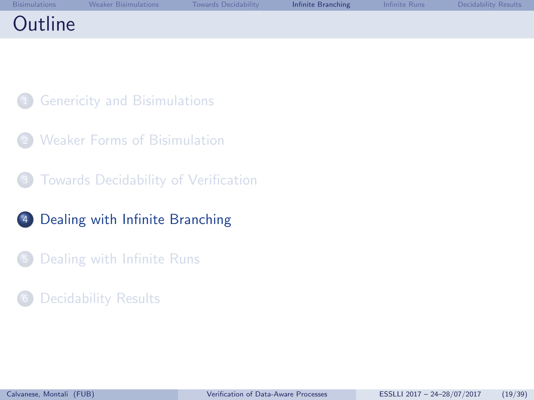<span id="page-19-0"></span>

|         | Bisimulations Weaker Bisimulations | <b>Example 1 Towards Decidability</b> |  | <b>Infinite Branching The Infinite Runs Contained Branching Contains Contains Infinite Property</b> |
|---------|------------------------------------|---------------------------------------|--|-----------------------------------------------------------------------------------------------------|
| Outline |                                    |                                       |  |                                                                                                     |

- **[Genericity and Bisimulations](#page-1-0)**
- **[Weaker Forms of Bisimulation](#page-8-0)**
- [Towards Decidability of Verification](#page-15-0)
- <sup>4</sup> [Dealing with Infinite Branching](#page-19-0)
- <sup>5</sup> [Dealing with Infinite Runs](#page-25-0)
- [Decidability Results](#page-33-0)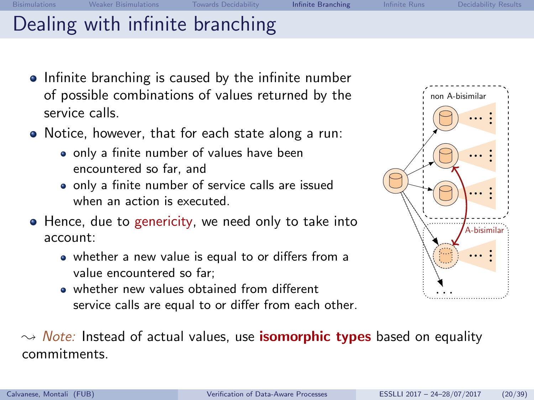[Bisimulations](#page-1-0) [Weaker Bisimulations](#page-8-0) [Towards Decidability](#page-15-0) Infin**ite Branching** [Infinite Runs](#page-25-0) [Decidability Results](#page-33-0) Dealing with infinite branching

- Infinite branching is caused by the infinite number of possible combinations of values returned by the service calls.
- Notice, however, that for each state along a run:
	- only a finite number of values have been encountered so far, and
	- only a finite number of service calls are issued when an action is executed.
- Hence, due to genericity, we need only to take into account:
	- whether a new value is equal to or differs from a value encountered so far;
	- whether new values obtained from different service calls are equal to or differ from each other.



 $\rightarrow$  *Note:* Instead of actual values, use **isomorphic types** based on equality commitments.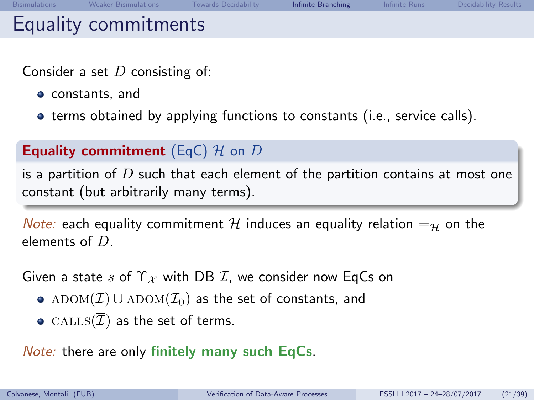Consider a set  $D$  consisting of:

- constants, and
- terms obtained by applying functions to constants (i.e., service calls).

### **Equality commitment** (EqC)  $H$  on D

is a partition of  $D$  such that each element of the partition contains at most one constant (but arbitrarily many terms).

*Note:* each equality commitment H induces an equality relation  $=_y$  on the elements of D.

Given a state s of  $\Upsilon_X$  with DB *I*, we consider now EqCs on

- ADOM( $\mathcal{I}$ ) ∪ ADOM( $\mathcal{I}_0$ ) as the set of constants, and
- CALLS $(\overline{\mathcal{I}})$  as the set of terms.

Note: there are only finitely many such EqCs.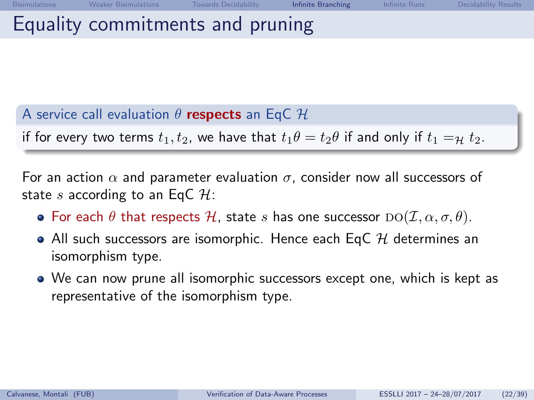## Equality commitments and pruning

A service call evaluation  $\theta$  respects an EqC  $\mathcal H$ 

if for every two terms  $t_1, t_2$ , we have that  $t_1\theta = t_2\theta$  if and only if  $t_1 =_\mathcal{H} t_2$ .

For an action  $\alpha$  and parameter evaluation  $\sigma$ , consider now all successors of state s according to an EqC  $H$ :

- **•** For each  $\theta$  that respects H, state s has one successor  $D\Omega(\mathcal{I}, \alpha, \sigma, \theta)$ .
- All such successors are isomorphic. Hence each EqC  $H$  determines an isomorphism type.
- We can now prune all isomorphic successors except one, which is kept as representative of the isomorphism type.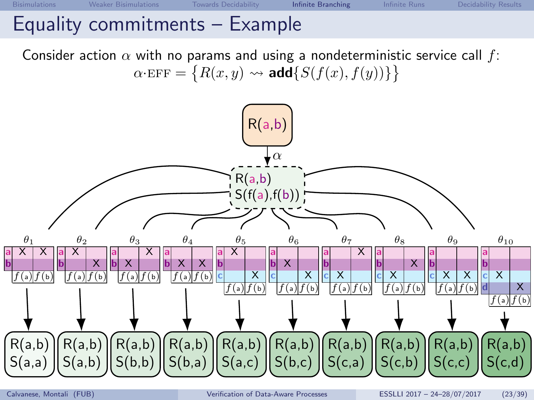Consider action  $\alpha$  with no params and using a nondeterministic service call f:  $\alpha$ ·EFF =  $\{R(x, y) \leadsto \text{add}\{S(f(x), f(y))\}\}$ 

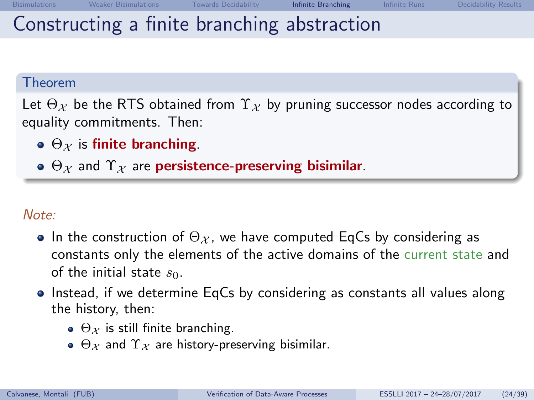Let  $\Theta_{\mathcal{X}}$  be the RTS obtained from  $\Upsilon_{\mathcal{X}}$  by pruning successor nodes according to equality commitments. Then:

- $\bullet$   $\Theta_{\mathcal{X}}$  is finite branching.
- $\bullet$   $\Theta_X$  and  $\Upsilon_X$  are persistence-preserving bisimilar.

### Note:

- In the construction of  $\Theta_{\mathcal{X}}$ , we have computed EqCs by considering as constants only the elements of the active domains of the current state and of the initial state  $s_0$ .
- Instead, if we determine EqCs by considering as constants all values along the history, then:
	- $\Theta_{\mathcal{X}}$  is still finite branching.
	- $\Theta_X$  and  $\Upsilon_X$  are history-preserving bisimilar.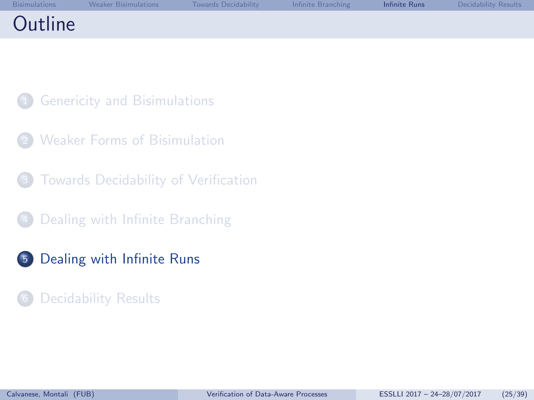<span id="page-25-0"></span>

| <b>Bisimulations</b> | <b>Weaker Bisimulations</b> | Towards Decidability | Infinite Branching | <b>Infinite Runs</b> | Decidability Results |
|----------------------|-----------------------------|----------------------|--------------------|----------------------|----------------------|
| Outline              |                             |                      |                    |                      |                      |

- **[Genericity and Bisimulations](#page-1-0)**
- **[Weaker Forms of Bisimulation](#page-8-0)**
- [Towards Decidability of Verification](#page-15-0)
- [Dealing with Infinite Branching](#page-19-0)
- <sup>5</sup> [Dealing with Infinite Runs](#page-25-0)
- [Decidability Results](#page-33-0)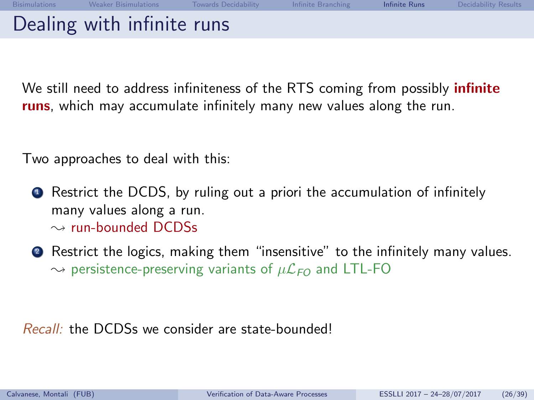Dealing with infinite runs

We still need to address infiniteness of the RTS coming from possibly *infinite* runs, which may accumulate infinitely many new values along the run.

Two approaches to deal with this:

- **1** Restrict the DCDS, by ruling out a priori the accumulation of infinitely many values along a run.  $\sim$  run-bounded DCDSs
- <sup>2</sup> Restrict the logics, making them "insensitive" to the infinitely many values.  $\rightarrow$  persistence-preserving variants of  $\mu\mathcal{L}_{FO}$  and LTL-FO

Recall: the DCDSs we consider are state-bounded!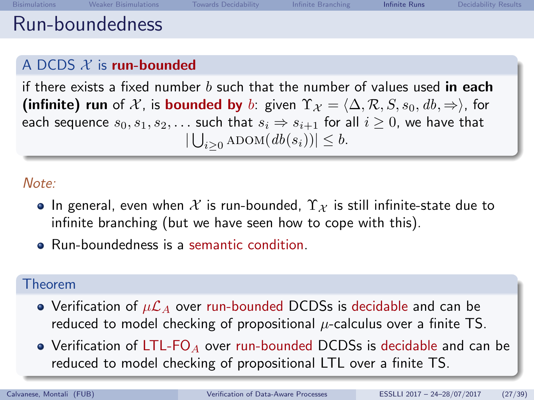### A DCDS  $X$  is run-bounded

if there exists a fixed number b such that the number of values used in each (infinite) run of X, is bounded by b: given  $\Upsilon_{\mathcal{X}} = \langle \Delta, \mathcal{R}, S, s_0, db, \Rightarrow \rangle$ , for each sequence  $s_0, s_1, s_2, \ldots$  such that  $s_i \Rightarrow s_{i+1}$  for all  $i \geq 0$ , we have that  $|\bigcup_{i\geq 0}$  ADOM $(d b(s_i))| \leq b$ .

Note:

- In general, even when X is run-bounded,  $\Upsilon_{\mathcal{X}}$  is still infinite-state due to infinite branching (but we have seen how to cope with this).
- Run-boundedness is a semantic condition.

#### Theorem

- Verification of  $\mu\mathcal{L}_A$  over run-bounded DCDSs is decidable and can be reduced to model checking of propositional  $\mu$ -calculus over a finite TS.
- Verification of LTL-FO<sub>A</sub> over run-bounded DCDSs is decidable and can be reduced to model checking of propositional LTL over a finite TS.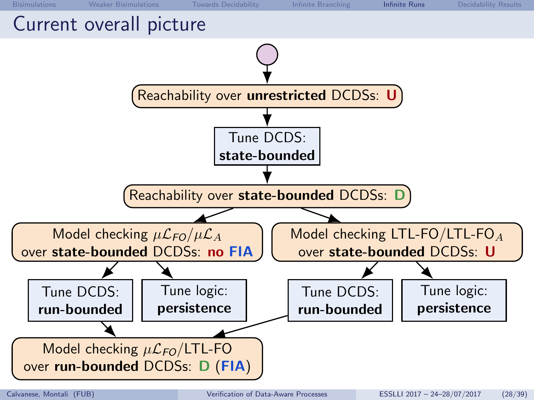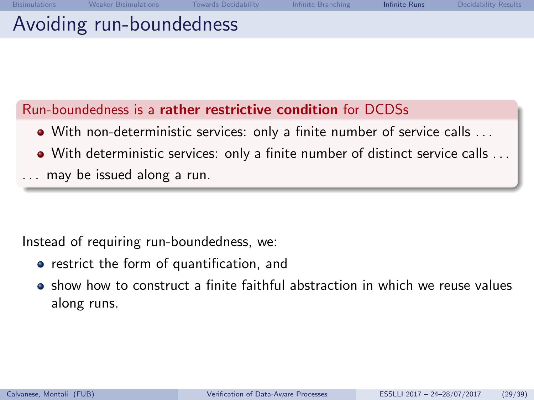## Avoiding run-boundedness

### Run-boundedness is a rather restrictive condition for DCDSs

- With non-deterministic services: only a finite number of service calls . . .
- With deterministic services: only a finite number of distinct service calls . . .
- may be issued along a run.

Instead of requiring run-boundedness, we:

- restrict the form of quantification, and
- $\bullet$  show how to construct a finite faithful abstraction in which we reuse values along runs.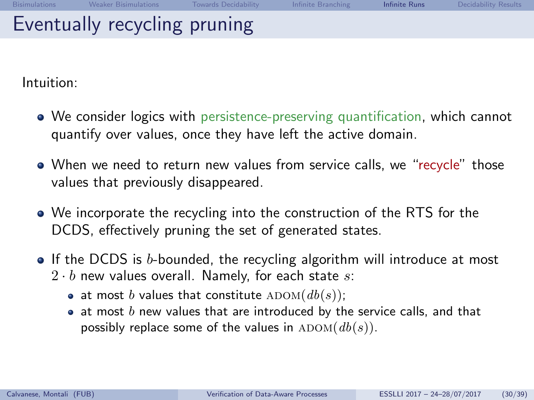Intuition:

- We consider logics with persistence-preserving quantification, which cannot quantify over values, once they have left the active domain.
- When we need to return new values from service calls, we "recycle" those values that previously disappeared.
- We incorporate the recycling into the construction of the RTS for the DCDS, effectively pruning the set of generated states.
- If the DCDS is b-bounded, the recycling algorithm will introduce at most  $2 \cdot b$  new values overall. Namely, for each state s:
	- at most b values that constitute  $\text{ADOM}(db(s));$
	- $\bullet$  at most  $b$  new values that are introduced by the service calls, and that possibly replace some of the values in  $\text{ADOM}(db(s))$ .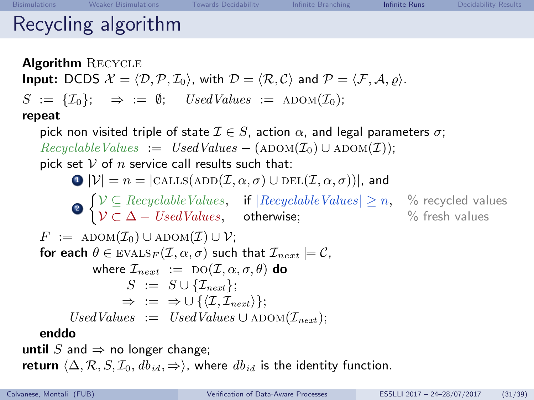# Recycling algorithm

**Algorithm RECYCLE Input:** DCDS  $\mathcal{X} = \langle \mathcal{D}, \mathcal{P}, \mathcal{I}_0 \rangle$ , with  $\mathcal{D} = \langle \mathcal{R}, \mathcal{C} \rangle$  and  $\mathcal{P} = \langle \mathcal{F}, \mathcal{A}, \varrho \rangle$ .  $S := \{ \mathcal{I}_0 \}: \Rightarrow := \emptyset; \text{ UsedValues} := \text{ADOM}(\mathcal{I}_0);$ repeat pick non visited triple of state  $\mathcal{I} \in S$ , action  $\alpha$ , and legal parameters  $\sigma$ ;  $RecycleValueS := UsedValues - (ADOM(\mathcal{I}_0) \cup ADOM(\mathcal{I}))$ ; pick set  $V$  of  $n$  service call results such that:  $\bigcirc$   $|\mathcal{V}| = n = |\text{CALLS}(\text{ADD}(\mathcal{I}, \alpha, \sigma) \cup \text{DEL}(\mathcal{I}, \alpha, \sigma))|$ , and  $\sum_{i=1}^{n} \sum_{i=1}^{n} \sum_{i=1}^{n}$  *Secyclable Values*  $\sum_{i=1}^{n} \sum_{i=1}^{n} \sum_{i=1}^{n}$  *Secyclable Values*  $\mathcal{V} \subset \Delta - \mathit{UsedValues}, \quad \quad \textsf{otherwise}; \qquad \qquad \quad \% \textsf{ fresh values}$  $F := \text{ADOM}(\mathcal{I}_0) \cup \text{ADOM}(\mathcal{I}) \cup \mathcal{V};$ for each  $\theta \in$  EVALS $_F(\mathcal{I}, \alpha, \sigma)$  such that  $\mathcal{I}_{next} \models C$ , where  $\mathcal{I}_{next} := \text{DO}(\mathcal{I}, \alpha, \sigma, \theta)$  do  $S := S \cup \{ \mathcal{I}_{next} \}.$  $\Rightarrow$  :=  $\Rightarrow \cup \{ \langle \mathcal{I}, \mathcal{I}_{\text{next}} \rangle \};$  $Use dValues := UsedValues \cup \text{ADOM}(\mathcal{I}_{next});$ enddo until S and  $\Rightarrow$  no longer change; return  $\langle \Delta, \mathcal{R}, S, \mathcal{I}_0, db_{id}, \Rightarrow \rangle$ , where  $db_{id}$  is the identity function.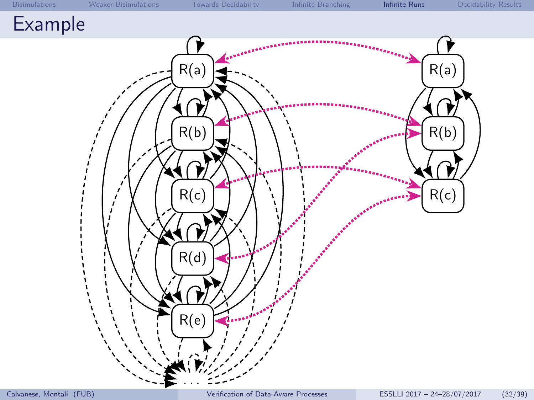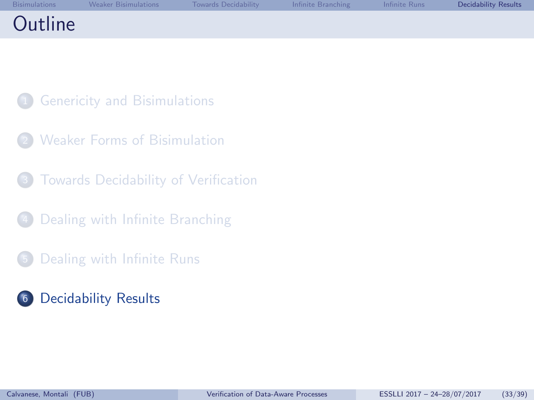<span id="page-33-0"></span>

|         | Bisimulations Weaker Bisimulations | Towards Decidability | <b>Example 19 Infinite Branching Community Infinite Runs</b> | <b>Decidability Results</b> |
|---------|------------------------------------|----------------------|--------------------------------------------------------------|-----------------------------|
| Outline |                                    |                      |                                                              |                             |

- **[Genericity and Bisimulations](#page-1-0)**
- **[Weaker Forms of Bisimulation](#page-8-0)**
- [Towards Decidability of Verification](#page-15-0)
- [Dealing with Infinite Branching](#page-19-0)
- <sup>5</sup> [Dealing with Infinite Runs](#page-25-0)
- <sup>6</sup> [Decidability Results](#page-33-0)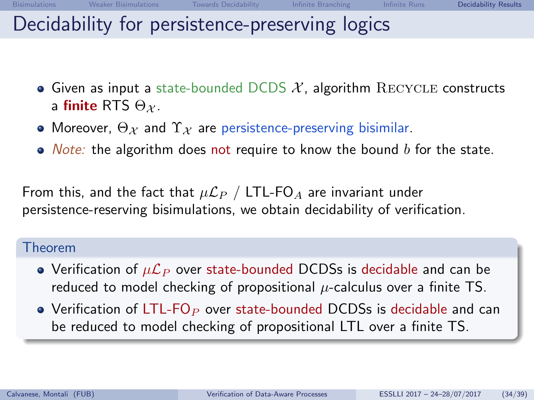## Decidability for persistence-preserving logics

- Given as input a state-bounded DCDS  $\mathcal{X}$ , algorithm RECYCLE constructs a finite RTS  $\Theta_{\mathcal{X}}$ .
- Moreover,  $\Theta_{\mathcal{X}}$  and  $\Upsilon_{\mathcal{X}}$  are persistence-preserving bisimilar.
- $\bullet$  *Note:* the algorithm does not require to know the bound b for the state.

From this, and the fact that  $\mu\mathcal{L}_P$  / LTL-FO<sub>A</sub> are invariant under persistence-reserving bisimulations, we obtain decidability of verification.

### Theorem

- Verification of  $\mu\mathcal{L}_P$  over state-bounded DCDSs is decidable and can be reduced to model checking of propositional  $\mu$ -calculus over a finite TS.
- Verification of LTL-FO<sub>P</sub> over state-bounded DCDSs is decidable and can be reduced to model checking of propositional LTL over a finite TS.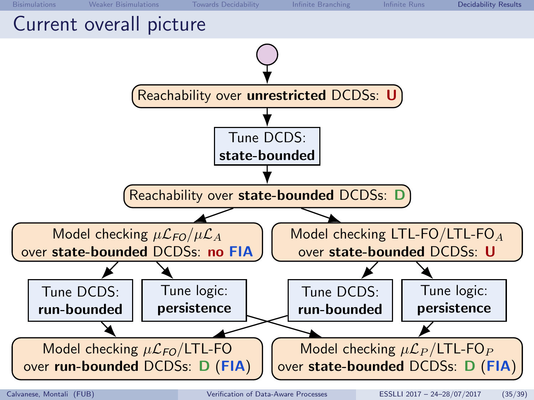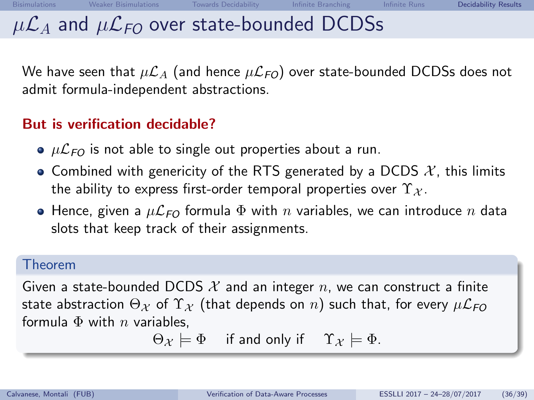# $\mu\mathcal{L}_A$  and  $\mu\mathcal{L}_{FO}$  over state-bounded DCDSs

We have seen that  $\mu\mathcal{L}_A$  (and hence  $\mu\mathcal{L}_{FO}$ ) over state-bounded DCDSs does not admit formula-independent abstractions.

### But is verification decidable?

- $\bullet$   $\mu\mathcal{L}_{FO}$  is not able to single out properties about a run.
- Combined with genericity of the RTS generated by a DCDS  $\mathcal{X}$ , this limits the ability to express first-order temporal properties over  $\Upsilon_{\mathcal{X}}$ .
- Hence, given a  $\mu \mathcal{L}_{FO}$  formula  $\Phi$  with n variables, we can introduce n data slots that keep track of their assignments.

### Theorem

Given a state-bounded DCDS  $\mathcal X$  and an integer  $n$ , we can construct a finite state abstraction  $\Theta_{\mathcal{X}}$  of  $\Upsilon_{\mathcal{X}}$  (that depends on n) such that, for every  $\mu\mathcal{L}_{FO}$ formula  $\Phi$  with *n* variables.

$$
\Theta_{\mathcal{X}} \models \Phi \quad \text{ if and only if } \quad \Upsilon_{\mathcal{X}} \models \Phi.
$$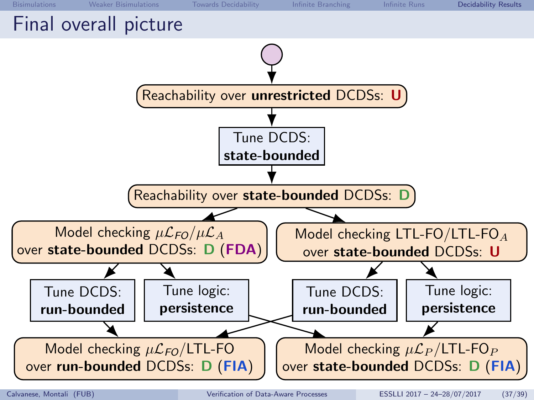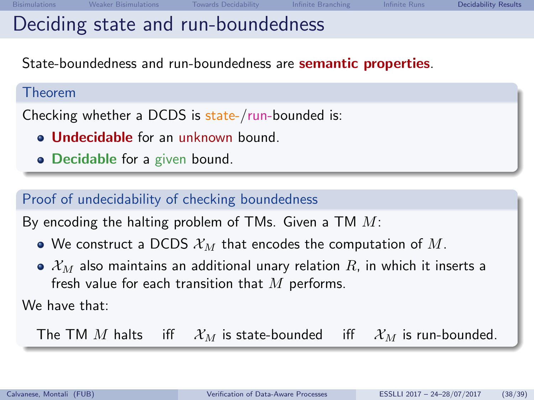State-boundedness and run-boundedness are semantic properties.

#### Theorem

Checking whether a DCDS is state-/run-bounded is:

- **Allndecidable** for an unknown bound.
- Decidable for a given bound.

## Proof of undecidability of checking boundedness

By encoding the halting problem of TMs. Given a TM  $M$ :

- We construct a DCDS  $\mathcal{X}_M$  that encodes the computation of M.
- $\bullet$   $\mathcal{X}_M$  also maintains an additional unary relation R, in which it inserts a fresh value for each transition that  $M$  performs.

We have that:

The TM M halts iff  $\mathcal{X}_M$  is state-bounded iff  $\mathcal{X}_M$  is run-bounded.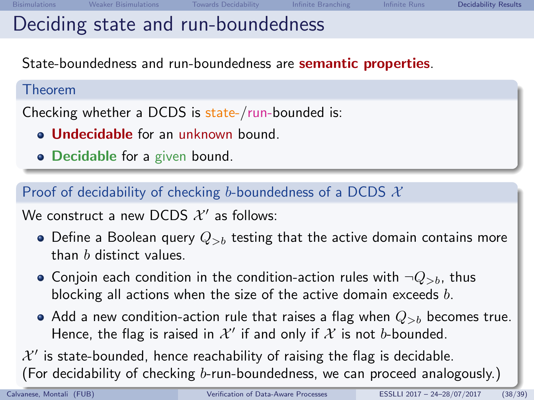# Deciding state and run-boundedness

State-boundedness and run-boundedness are semantic properties.

#### Theorem

Checking whether a DCDS is state-/run-bounded is:

- **Jundecidable** for an unknown bound.
- Decidable for a given bound.

Proof of decidability of checking b-boundedness of a DCDS  $\mathcal{X}$ 

We construct a new DCDS  $\mathcal{X}'$  as follows:

- Define a Boolean query  $Q_{>b}$  testing that the active domain contains more than b distinct values.
- Conjoin each condition in the condition-action rules with  $\neg Q_{>b}$ , thus blocking all actions when the size of the active domain exceeds  $b$ .
- Add a new condition-action rule that raises a flag when  $Q_{\gt h}$  becomes true. Hence, the flag is raised in  $\mathcal{X}'$  if and only if  $\mathcal X$  is not b-bounded.

 $\mathcal{X}'$  is state-bounded, hence reachability of raising the flag is decidable. (For decidability of checking b-run-boundedness, we can proceed analogously.)